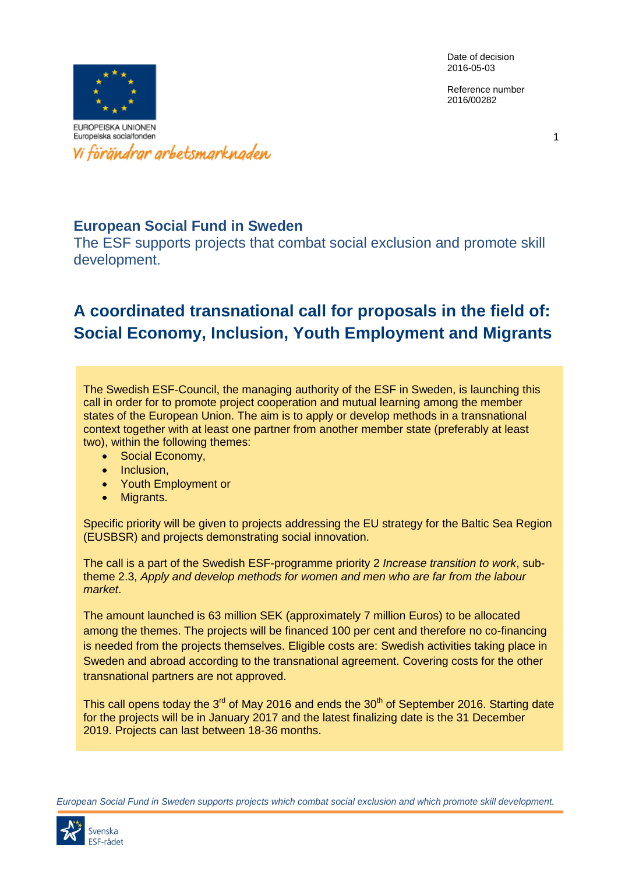Reference number 2016/00282



## **European Social Fund in Sweden**

The ESF supports projects that combat social exclusion and promote skill development.

# **A coordinated transnational call for proposals in the field of: Social Economy, Inclusion, Youth Employment and Migrants**

The Swedish ESF-Council, the managing authority of the ESF in Sweden, is launching this call in order for to promote project cooperation and mutual learning among the member states of the European Union. The aim is to apply or develop methods in a transnational context together with at least one partner from another member state (preferably at least two), within the following themes:

- Social Economy,
- Inclusion.
- Youth Employment or
- Migrants.

Specific priority will be given to projects addressing the EU strategy for the Baltic Sea Region (EUSBSR) and projects demonstrating social innovation.

The call is a part of the Swedish ESF-programme priority 2 *Increase transition to work*, subtheme 2.3, *Apply and develop methods for women and men who are far from the labour market*.

The amount launched is 63 million SEK (approximately 7 million Euros) to be allocated among the themes. The projects will be financed 100 per cent and therefore no co-financing is needed from the projects themselves. Eligible costs are: Swedish activities taking place in Sweden and abroad according to the transnational agreement. Covering costs for the other transnational partners are not approved.

This call opens today the  $3<sup>rd</sup>$  of May 2016 and ends the  $30<sup>th</sup>$  of September 2016. Starting date for the projects will be in January 2017 and the latest finalizing date is the 31 December 2019. Projects can last between 18-36 months.

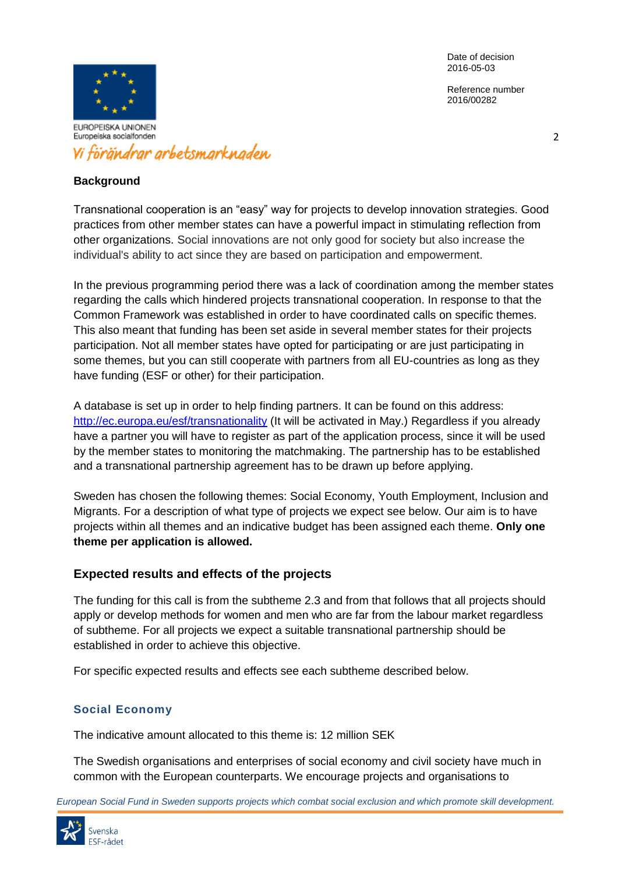Reference number 2016/00282



#### **Background**

Transnational cooperation is an "easy" way for projects to develop innovation strategies. Good practices from other member states can have a powerful impact in stimulating reflection from other organizations. Social innovations are not only good for society but also increase the individual's ability to act since they are based on participation and empowerment.

In the previous programming period there was a lack of coordination among the member states regarding the calls which hindered projects transnational cooperation. In response to that the Common Framework was established in order to have coordinated calls on specific themes. This also meant that funding has been set aside in several member states for their projects participation. Not all member states have opted for participating or are just participating in some themes, but you can still cooperate with partners from all EU-countries as long as they have funding (ESF or other) for their participation.

A database is set up in order to help finding partners. It can be found on this address: <http://ec.europa.eu/esf/transnationality> (It will be activated in May.) Regardless if you already have a partner you will have to register as part of the application process, since it will be used by the member states to monitoring the matchmaking. The partnership has to be established and a transnational partnership agreement has to be drawn up before applying.

Sweden has chosen the following themes: Social Economy, Youth Employment, Inclusion and Migrants. For a description of what type of projects we expect see below. Our aim is to have projects within all themes and an indicative budget has been assigned each theme. **Only one theme per application is allowed.**

### **Expected results and effects of the projects**

The funding for this call is from the subtheme 2.3 and from that follows that all projects should apply or develop methods for women and men who are far from the labour market regardless of subtheme. For all projects we expect a suitable transnational partnership should be established in order to achieve this objective.

For specific expected results and effects see each subtheme described below.

### **Social Economy**

The indicative amount allocated to this theme is: 12 million SEK

The Swedish organisations and enterprises of social economy and civil society have much in common with the European counterparts. We encourage projects and organisations to

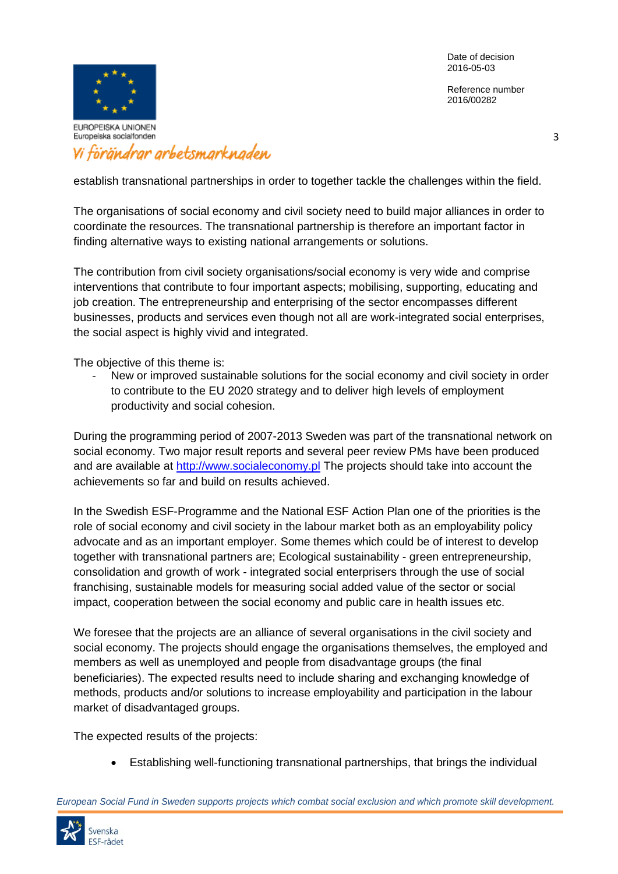Reference number 2016/00282



# Vi förändrar arbetsmarknaden

establish transnational partnerships in order to together tackle the challenges within the field.

The organisations of social economy and civil society need to build major alliances in order to coordinate the resources. The transnational partnership is therefore an important factor in finding alternative ways to existing national arrangements or solutions.

The contribution from civil society organisations/social economy is very wide and comprise interventions that contribute to four important aspects; mobilising, supporting, educating and job creation. The entrepreneurship and enterprising of the sector encompasses different businesses, products and services even though not all are work-integrated social enterprises, the social aspect is highly vivid and integrated.

The objective of this theme is:

New or improved sustainable solutions for the social economy and civil society in order to contribute to the EU 2020 strategy and to deliver high levels of employment productivity and social cohesion.

During the programming period of 2007-2013 Sweden was part of the transnational network on social economy. Two major result reports and several peer review PMs have been produced and are available at [http://www.socialeconomy.pl](http://www.socialeconomy.pl/) The projects should take into account the achievements so far and build on results achieved.

In the Swedish ESF-Programme and the National ESF Action Plan one of the priorities is the role of social economy and civil society in the labour market both as an employability policy advocate and as an important employer. Some themes which could be of interest to develop together with transnational partners are; Ecological sustainability - green entrepreneurship, consolidation and growth of work - integrated social enterprisers through the use of social franchising, sustainable models for measuring social added value of the sector or social impact, cooperation between the social economy and public care in health issues etc.

We foresee that the projects are an alliance of several organisations in the civil society and social economy. The projects should engage the organisations themselves, the employed and members as well as unemployed and people from disadvantage groups (the final beneficiaries). The expected results need to include sharing and exchanging knowledge of methods, products and/or solutions to increase employability and participation in the labour market of disadvantaged groups.

The expected results of the projects:

Establishing well-functioning transnational partnerships, that brings the individual

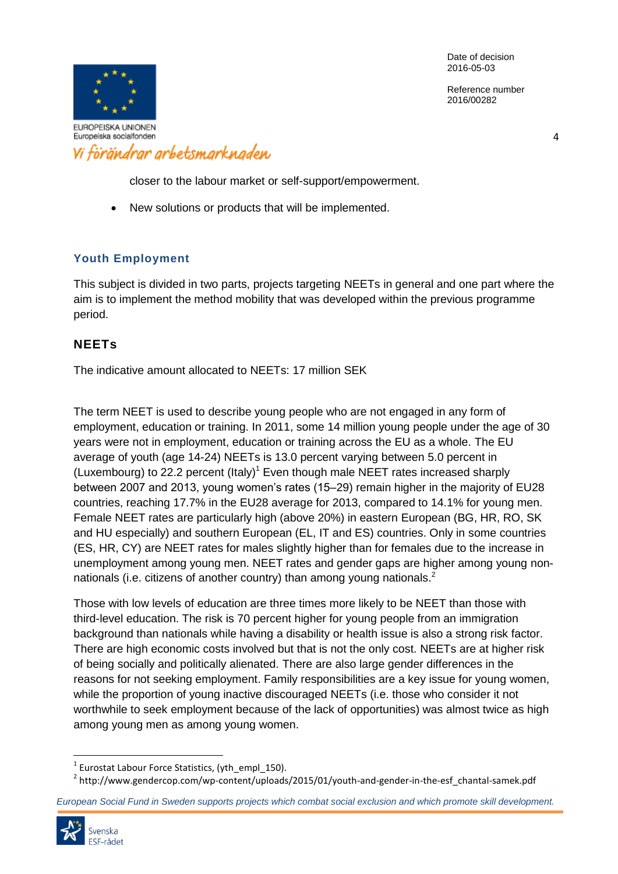Reference number 2016/00282



4

closer to the labour market or self-support/empowerment.

New solutions or products that will be implemented.

### **Youth Employment**

This subject is divided in two parts, projects targeting NEETs in general and one part where the aim is to implement the method mobility that was developed within the previous programme period.

### **NEETs**

The indicative amount allocated to NEETs: 17 million SEK

The term NEET is used to describe young people who are not engaged in any form of employment, education or training. In 2011, some 14 million young people under the age of 30 years were not in employment, education or training across the EU as a whole. The EU average of youth (age 14-24) NEETs is 13.0 percent varying between 5.0 percent in (Luxembourg) to 22.2 percent (Italy)<sup>1</sup> Even though male NEET rates increased sharply between 2007 and 2013, young women's rates (15–29) remain higher in the majority of EU28 countries, reaching 17.7% in the EU28 average for 2013, compared to 14.1% for young men. Female NEET rates are particularly high (above 20%) in eastern European (BG, HR, RO, SK and HU especially) and southern European (EL, IT and ES) countries. Only in some countries (ES, HR, CY) are NEET rates for males slightly higher than for females due to the increase in unemployment among young men. NEET rates and gender gaps are higher among young nonnationals (i.e. citizens of another country) than among young nationals.<sup>2</sup>

Those with low levels of education are three times more likely to be NEET than those with third-level education. The risk is 70 percent higher for young people from an immigration background than nationals while having a disability or health issue is also a strong risk factor. There are high economic costs involved but that is not the only cost. NEETs are at higher risk of being socially and politically alienated. There are also large gender differences in the reasons for not seeking employment. Family responsibilities are a key issue for young women, while the proportion of young inactive discouraged NEETs (i.e. those who consider it not worthwhile to seek employment because of the lack of opportunities) was almost twice as high among young men as among young women.

<sup>2</sup> http://www.gendercop.com/wp-content/uploads/2015/01/youth-and-gender-in-the-esf\_chantal-samek.pdf

*European Social Fund in Sweden supports projects which combat social exclusion and which promote skill development.*



l

 $^{1}$  Eurostat Labour Force Statistics, (yth\_empl\_150).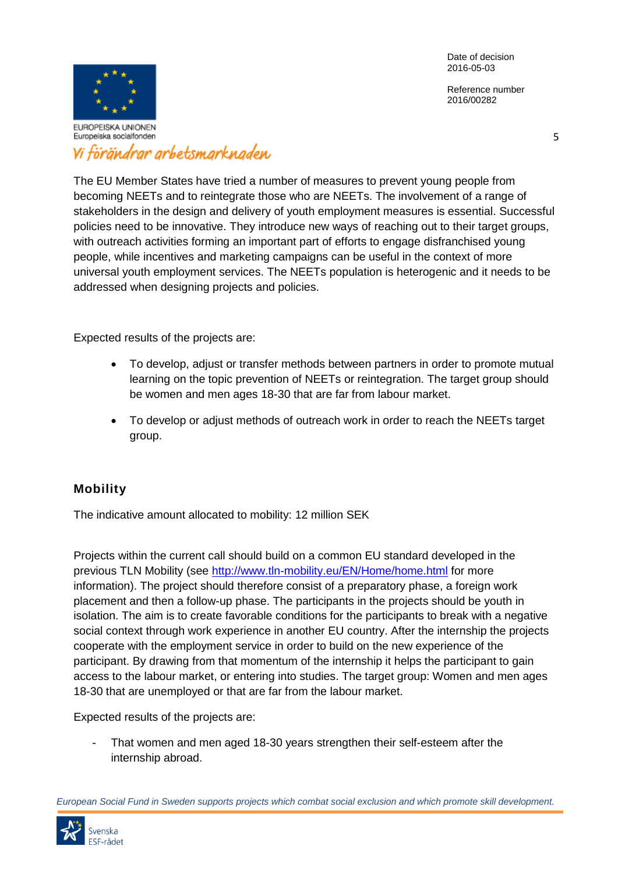Reference number 2016/00282



# Vi förändrar arbetsmarknaden

The EU Member States have tried a number of measures to prevent young people from becoming NEETs and to reintegrate those who are NEETs. The involvement of a range of stakeholders in the design and delivery of youth employment measures is essential. Successful policies need to be innovative. They introduce new ways of reaching out to their target groups, with outreach activities forming an important part of efforts to engage disfranchised young people, while incentives and marketing campaigns can be useful in the context of more universal youth employment services. The NEETs population is heterogenic and it needs to be addressed when designing projects and policies.

Expected results of the projects are:

- To develop, adjust or transfer methods between partners in order to promote mutual learning on the topic prevention of NEETs or reintegration. The target group should be women and men ages 18-30 that are far from labour market.
- To develop or adjust methods of outreach work in order to reach the NEETs target group.

## **Mobility**

The indicative amount allocated to mobility: 12 million SEK

Projects within the current call should build on a common EU standard developed in the previous TLN Mobility (see<http://www.tln-mobility.eu/EN/Home/home.html> for more information). The project should therefore consist of a preparatory phase, a foreign work placement and then a follow-up phase. The participants in the projects should be youth in isolation. The aim is to create favorable conditions for the participants to break with a negative social context through work experience in another EU country. After the internship the projects cooperate with the employment service in order to build on the new experience of the participant. By drawing from that momentum of the internship it helps the participant to gain access to the labour market, or entering into studies. The target group: Women and men ages 18-30 that are unemployed or that are far from the labour market.

Expected results of the projects are:

That women and men aged 18-30 years strengthen their self-esteem after the internship abroad.

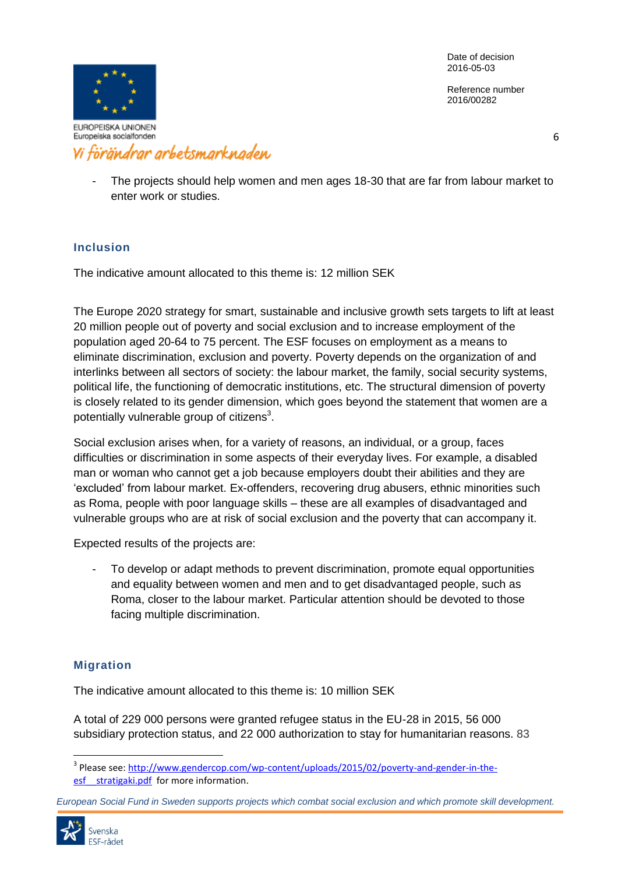Reference number 2016/00282



6

The projects should help women and men ages 18-30 that are far from labour market to enter work or studies.

### **Inclusion**

The indicative amount allocated to this theme is: 12 million SEK

The Europe 2020 strategy for smart, sustainable and inclusive growth sets targets to lift at least 20 million people out of poverty and social exclusion and to increase employment of the population aged 20-64 to 75 percent. The ESF focuses on employment as a means to eliminate discrimination, exclusion and poverty. Poverty depends on the organization of and interlinks between all sectors of society: the labour market, the family, social security systems, political life, the functioning of democratic institutions, etc. The structural dimension of poverty is closely related to its gender dimension, which goes beyond the statement that women are a potentially vulnerable group of citizens<sup>3</sup>.

Social exclusion arises when, for a variety of reasons, an individual, or a group, faces difficulties or discrimination in some aspects of their everyday lives. For example, a disabled man or woman who cannot get a job because employers doubt their abilities and they are 'excluded' from labour market. Ex-offenders, recovering drug abusers, ethnic minorities such as Roma, people with poor language skills – these are all examples of disadvantaged and vulnerable groups who are at risk of social exclusion and the poverty that can accompany it.

Expected results of the projects are:

- To develop or adapt methods to prevent discrimination, promote equal opportunities and equality between women and men and to get disadvantaged people, such as Roma, closer to the labour market. Particular attention should be devoted to those facing multiple discrimination.

### **Migration**

The indicative amount allocated to this theme is: 10 million SEK

A total of 229 000 persons were granted refugee status in the EU-28 in 2015, 56 000 subsidiary protection status, and 22 000 authorization to stay for humanitarian reasons. 83

*European Social Fund in Sweden supports projects which combat social exclusion and which promote skill development.*



l

<sup>&</sup>lt;sup>3</sup> Please see: <u>http://www.gendercop.com/wp-content/uploads/2015/02/poverty-and-gender-in-the-</u> esf stratigaki.pdf for more information.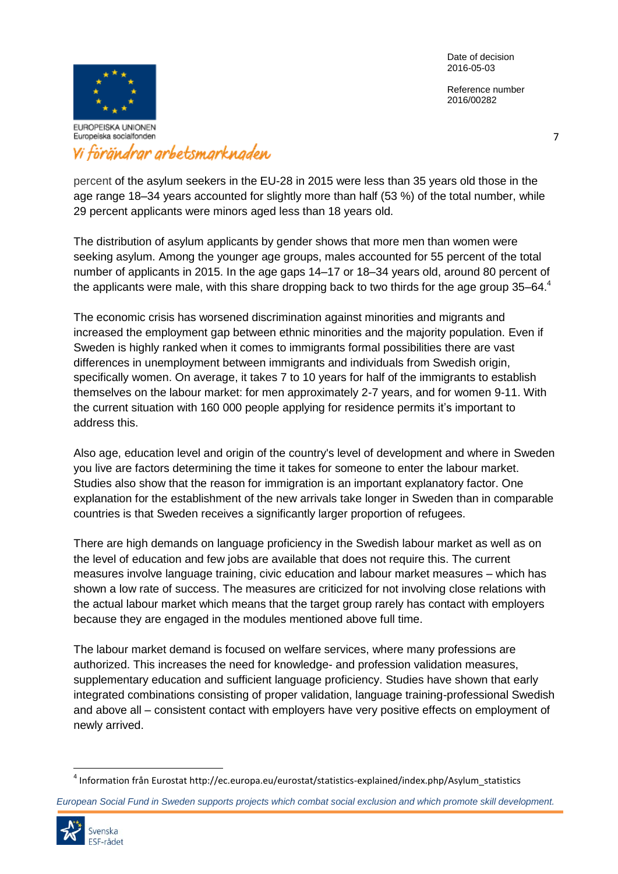Reference number 2016/00282



## Vi förändrar arbetsmarknaden

percent of the asylum seekers in the EU-28 in 2015 were less than 35 years old those in the age range 18–34 years accounted for slightly more than half (53 %) of the total number, while 29 percent applicants were minors aged less than 18 years old.

The distribution of asylum applicants by gender shows that more men than women were seeking asylum. Among the younger age groups, males accounted for 55 percent of the total number of applicants in 2015. In the age gaps 14–17 or 18–34 years old, around 80 percent of the applicants were male, with this share dropping back to two thirds for the age group  $35-64.4$ 

The economic crisis has worsened discrimination against minorities and migrants and increased the employment gap between ethnic minorities and the majority population. Even if Sweden is highly ranked when it comes to immigrants formal possibilities there are vast differences in unemployment between immigrants and individuals from Swedish origin, specifically women. On average, it takes 7 to 10 years for half of the immigrants to establish themselves on the labour market: for men approximately 2-7 years, and for women 9-11. With the current situation with 160 000 people applying for residence permits it's important to address this.

Also age, education level and origin of the country's level of development and where in Sweden you live are factors determining the time it takes for someone to enter the labour market. Studies also show that the reason for immigration is an important explanatory factor. One explanation for the establishment of the new arrivals take longer in Sweden than in comparable countries is that Sweden receives a significantly larger proportion of refugees.

There are high demands on language proficiency in the Swedish labour market as well as on the level of education and few jobs are available that does not require this. The current measures involve language training, civic education and labour market measures – which has shown a low rate of success. The measures are criticized for not involving close relations with the actual labour market which means that the target group rarely has contact with employers because they are engaged in the modules mentioned above full time.

The labour market demand is focused on welfare services, where many professions are authorized. This increases the need for knowledge- and profession validation measures, supplementary education and sufficient language proficiency. Studies have shown that early integrated combinations consisting of proper validation, language training-professional Swedish and above all – consistent contact with employers have very positive effects on employment of newly arrived.

*European Social Fund in Sweden supports projects which combat social exclusion and which promote skill development.*



 $\overline{\phantom{a}}$ 

<sup>4</sup> Information från Eurostat http://ec.europa.eu/eurostat/statistics-explained/index.php/Asylum\_statistics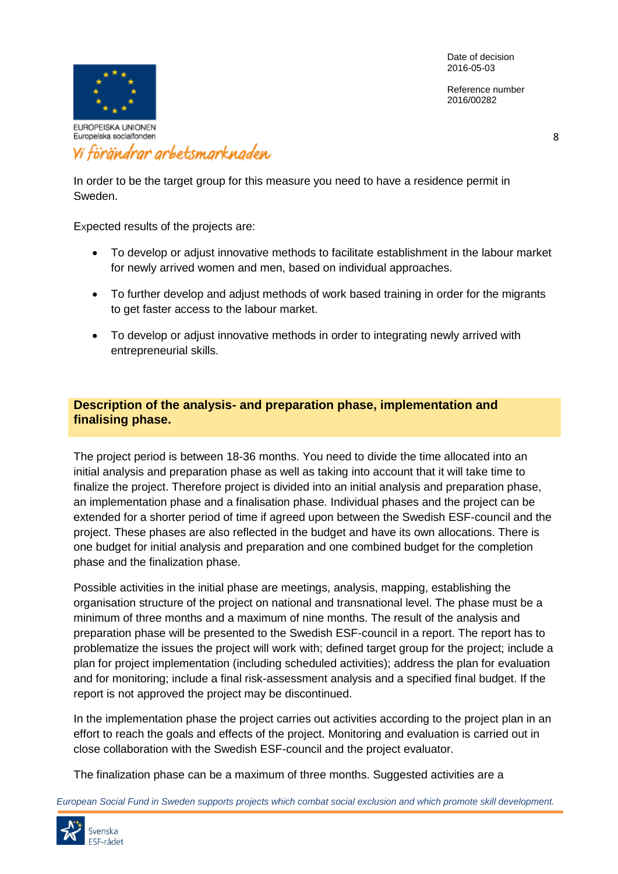Reference number 2016/00282



# Vi förändrar arbetsmarknaden

In order to be the target group for this measure you need to have a residence permit in Sweden.

Expected results of the projects are:

- To develop or adjust innovative methods to facilitate establishment in the labour market for newly arrived women and men, based on individual approaches.
- To further develop and adjust methods of work based training in order for the migrants to get faster access to the labour market.
- To develop or adjust innovative methods in order to integrating newly arrived with entrepreneurial skills.

### **Description of the analysis- and preparation phase, implementation and finalising phase.**

The project period is between 18-36 months. You need to divide the time allocated into an initial analysis and preparation phase as well as taking into account that it will take time to finalize the project. Therefore project is divided into an initial analysis and preparation phase, an implementation phase and a finalisation phase. Individual phases and the project can be extended for a shorter period of time if agreed upon between the Swedish ESF-council and the project. These phases are also reflected in the budget and have its own allocations. There is one budget for initial analysis and preparation and one combined budget for the completion phase and the finalization phase.

Possible activities in the initial phase are meetings, analysis, mapping, establishing the organisation structure of the project on national and transnational level. The phase must be a minimum of three months and a maximum of nine months. The result of the analysis and preparation phase will be presented to the Swedish ESF-council in a report. The report has to problematize the issues the project will work with; defined target group for the project; include a plan for project implementation (including scheduled activities); address the plan for evaluation and for monitoring; include a final risk-assessment analysis and a specified final budget. If the report is not approved the project may be discontinued.

In the implementation phase the project carries out activities according to the project plan in an effort to reach the goals and effects of the project. Monitoring and evaluation is carried out in close collaboration with the Swedish ESF-council and the project evaluator.

The finalization phase can be a maximum of three months. Suggested activities are a

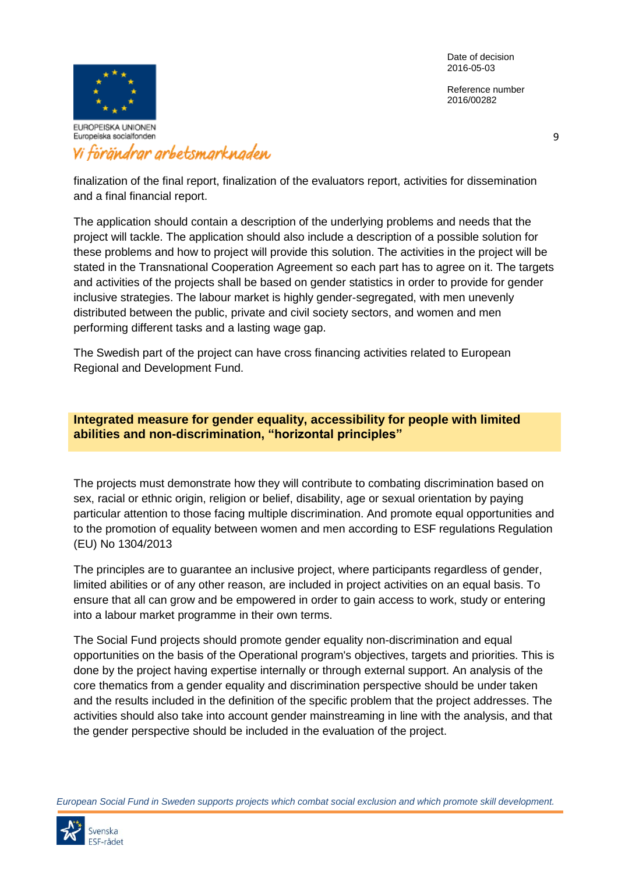Reference number 2016/00282



## Vi förändrar arbetsmarknaden

finalization of the final report, finalization of the evaluators report, activities for dissemination and a final financial report.

The application should contain a description of the underlying problems and needs that the project will tackle. The application should also include a description of a possible solution for these problems and how to project will provide this solution. The activities in the project will be stated in the Transnational Cooperation Agreement so each part has to agree on it. The targets and activities of the projects shall be based on gender statistics in order to provide for gender inclusive strategies. The labour market is highly gender-segregated, with men unevenly distributed between the public, private and civil society sectors, and women and men performing different tasks and a lasting wage gap.

The Swedish part of the project can have cross financing activities related to European Regional and Development Fund.

**Integrated measure for gender equality, accessibility for people with limited abilities and non-discrimination, "horizontal principles"**

The projects must demonstrate how they will contribute to combating discrimination based on sex, racial or ethnic origin, religion or belief, disability, age or sexual orientation by paying particular attention to those facing multiple discrimination. And promote equal opportunities and to the promotion of equality between women and men according to ESF regulations Regulation (EU) No 1304/2013

The principles are to guarantee an inclusive project, where participants regardless of gender, limited abilities or of any other reason, are included in project activities on an equal basis. To ensure that all can grow and be empowered in order to gain access to work, study or entering into a labour market programme in their own terms.

The Social Fund projects should promote gender equality non-discrimination and equal opportunities on the basis of the Operational program's objectives, targets and priorities. This is done by the project having expertise internally or through external support. An analysis of the core thematics from a gender equality and discrimination perspective should be under taken and the results included in the definition of the specific problem that the project addresses. The activities should also take into account gender mainstreaming in line with the analysis, and that the gender perspective should be included in the evaluation of the project.

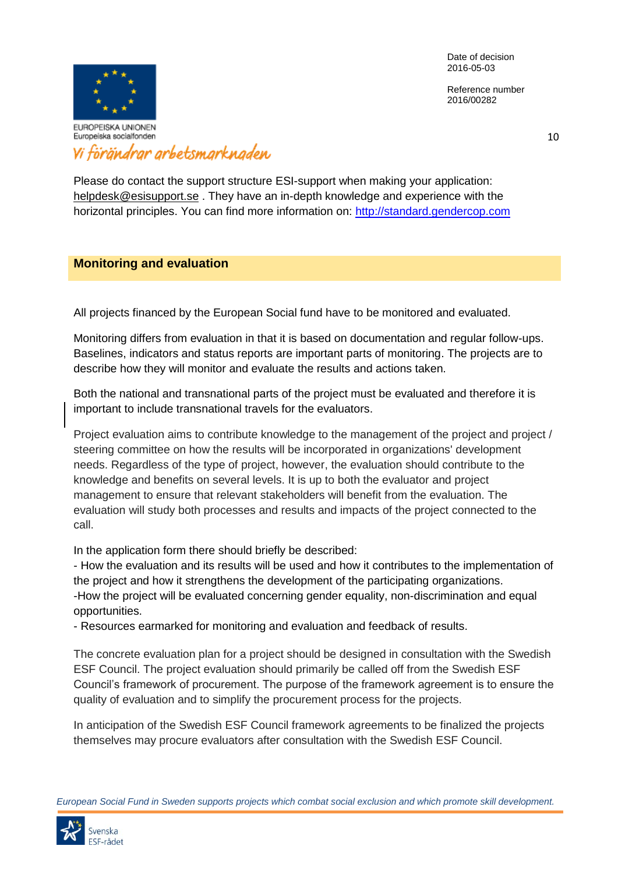Reference number 2016/00282



# Vi förändrar arbetsmarknaden

Please do contact the support structure ESI-support when making your application: [helpdesk@esisupport.se](mailto:helpdesk@esisupport.se) . They have an in-depth knowledge and experience with the horizontal principles. You can find more information on: [http://standard.gendercop.com](http://standard.gendercop.com/)

### **Monitoring and evaluation**

All projects financed by the European Social fund have to be monitored and evaluated.

Monitoring differs from evaluation in that it is based on documentation and regular follow-ups. Baselines, indicators and status reports are important parts of monitoring. The projects are to describe how they will monitor and evaluate the results and actions taken.

Both the national and transnational parts of the project must be evaluated and therefore it is important to include transnational travels for the evaluators.

Project evaluation aims to contribute knowledge to the management of the project and project / steering committee on how the results will be incorporated in organizations' development needs. Regardless of the type of project, however, the evaluation should contribute to the knowledge and benefits on several levels. It is up to both the evaluator and project management to ensure that relevant stakeholders will benefit from the evaluation. The evaluation will study both processes and results and impacts of the project connected to the call.

In the application form there should briefly be described:

- How the evaluation and its results will be used and how it contributes to the implementation of the project and how it strengthens the development of the participating organizations. -How the project will be evaluated concerning gender equality, non-discrimination and equal opportunities.

- Resources earmarked for monitoring and evaluation and feedback of results.

The concrete evaluation plan for a project should be designed in consultation with the Swedish ESF Council. The project evaluation should primarily be called off from the Swedish ESF Council's framework of procurement. The purpose of the framework agreement is to ensure the quality of evaluation and to simplify the procurement process for the projects.

In anticipation of the Swedish ESF Council framework agreements to be finalized the projects themselves may procure evaluators after consultation with the Swedish ESF Council.

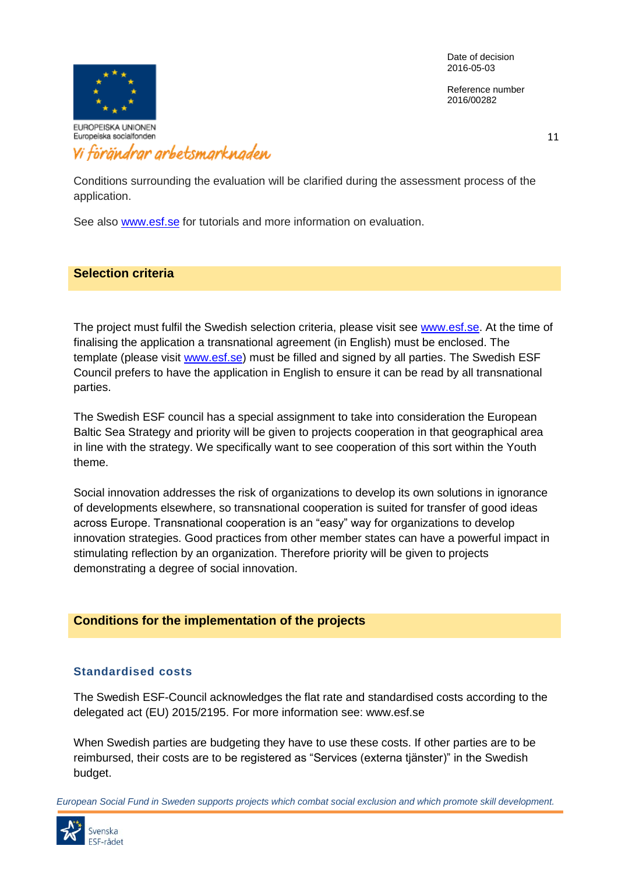Reference number 2016/00282



11

Conditions surrounding the evaluation will be clarified during the assessment process of the application.

See also [www.esf.se](http://www.esf.se/) for tutorials and more information on evaluation.

#### **Selection criteria**

The project must fulfil the Swedish selection criteria, please visit see [www.esf.se.](http://www.esf.se/) At the time of finalising the application a transnational agreement (in English) must be enclosed. The template (please visit [www.esf.se\)](http://www.esf.se/) must be filled and signed by all parties. The Swedish ESF Council prefers to have the application in English to ensure it can be read by all transnational parties.

The Swedish ESF council has a special assignment to take into consideration the European Baltic Sea Strategy and priority will be given to projects cooperation in that geographical area in line with the strategy. We specifically want to see cooperation of this sort within the Youth theme.

Social innovation addresses the risk of organizations to develop its own solutions in ignorance of developments elsewhere, so transnational cooperation is suited for transfer of good ideas across Europe. Transnational cooperation is an "easy" way for organizations to develop innovation strategies. Good practices from other member states can have a powerful impact in stimulating reflection by an organization. Therefore priority will be given to projects demonstrating a degree of social innovation.

#### **Conditions for the implementation of the projects**

#### **Standardised costs**

The Swedish ESF-Council acknowledges the flat rate and standardised costs according to the delegated act (EU) 2015/2195. For more information see: www.esf.se

When Swedish parties are budgeting they have to use these costs. If other parties are to be reimbursed, their costs are to be registered as "Services (externa tjänster)" in the Swedish budget.

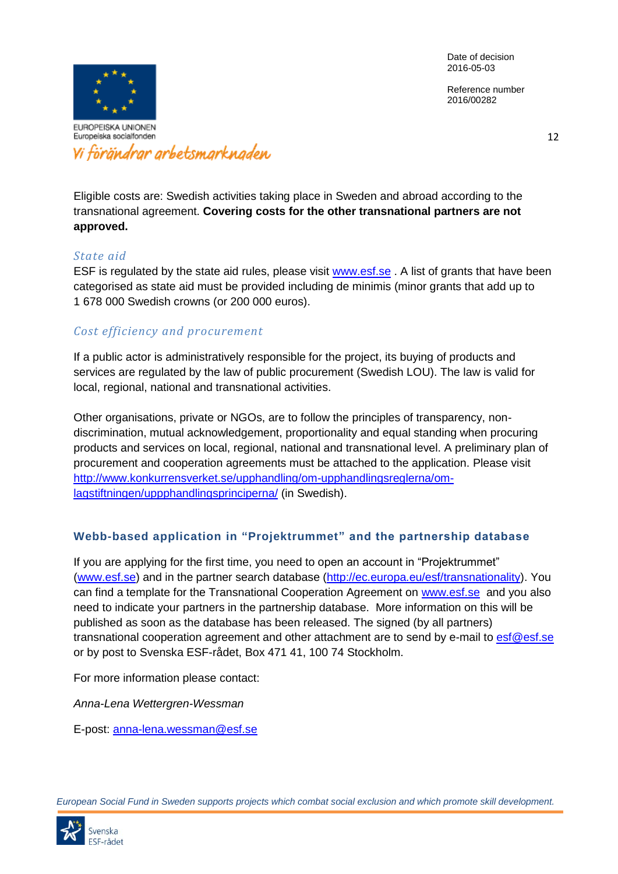Reference number 2016/00282



Vi förändrar arbetsmarknaden

12

Eligible costs are: Swedish activities taking place in Sweden and abroad according to the transnational agreement. **Covering costs for the other transnational partners are not approved.**

### *State aid*

ESF is regulated by the state aid rules, please visit [www.esf.se](http://www.esf.se/) . A list of grants that have been categorised as state aid must be provided including de minimis (minor grants that add up to 1 678 000 Swedish crowns (or 200 000 euros).

## *Cost efficiency and procurement*

If a public actor is administratively responsible for the project, its buying of products and services are regulated by the law of public procurement (Swedish LOU). The law is valid for local, regional, national and transnational activities.

Other organisations, private or NGOs, are to follow the principles of transparency, nondiscrimination, mutual acknowledgement, proportionality and equal standing when procuring products and services on local, regional, national and transnational level. A preliminary plan of procurement and cooperation agreements must be attached to the application. Please visit [http://www.konkurrensverket.se/upphandling/om-upphandlingsreglerna/om](http://www.konkurrensverket.se/upphandling/om-upphandlingsreglerna/om-lagstiftningen/uppphandlingsprinciperna/)[lagstiftningen/uppphandlingsprinciperna/](http://www.konkurrensverket.se/upphandling/om-upphandlingsreglerna/om-lagstiftningen/uppphandlingsprinciperna/) (in Swedish).

### **Webb-based application in "Projektrummet" and the partnership database**

If you are applying for the first time, you need to open an account in "Projektrummet" [\(www.esf.se\)](http://www.esf.se/) and in the partner search database [\(http://ec.europa.eu/esf/transnationality\)](http://ec.europa.eu/esf/transnationality). You can find a template for the Transnational Cooperation Agreement on [www.esf.se](http://www.esf.se/) and you also need to indicate your partners in the partnership database. More information on this will be published as soon as the database has been released. The signed (by all partners) transnational cooperation agreement and other attachment are to send by e-mail to  $est@est.se$ or by post to Svenska ESF-rådet, Box 471 41, 100 74 Stockholm.

For more information please contact:

*Anna-Lena Wettergren-Wessman*

E-post: [anna-lena.wessman@esf.se](mailto:anna-lena.wessman@esf.se)